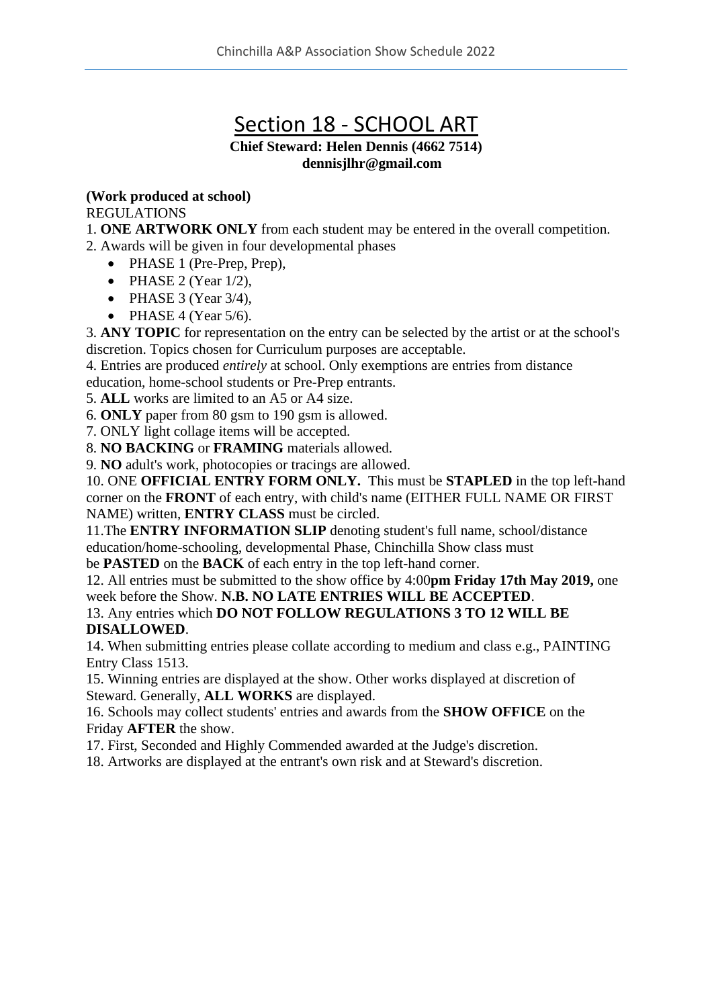# Section 18 - SCHOOL ART

## **Chief Steward: Helen Dennis (4662 7514) dennisjlhr@gmail.com**

### **(Work produced at school)**

#### REGULATIONS

1. **ONE ARTWORK ONLY** from each student may be entered in the overall competition.

2. Awards will be given in four developmental phases

- PHASE 1 (Pre-Prep, Prep),
- PHASE 2 (Year  $1/2$ ),
- PHASE 3 (Year  $3/4$ ),
- PHASE 4 (Year  $5/6$ ).

3. **ANY TOPIC** for representation on the entry can be selected by the artist or at the school's discretion. Topics chosen for Curriculum purposes are acceptable.

4. Entries are produced *entirely* at school. Only exemptions are entries from distance education, home-school students or Pre-Prep entrants.

5. **ALL** works are limited to an A5 or A4 size.

6. **ONLY** paper from 80 gsm to 190 gsm is allowed.

7. ONLY light collage items will be accepted.

8. **NO BACKING** or **FRAMING** materials allowed.

9. **NO** adult's work, photocopies or tracings are allowed.

10. ONE **OFFICIAL ENTRY FORM ONLY.** This must be **STAPLED** in the top left-hand corner on the **FRONT** of each entry, with child's name (EITHER FULL NAME OR FIRST NAME) written, **ENTRY CLASS** must be circled.

11.The **ENTRY INFORMATION SLIP** denoting student's full name, school/distance education/home-schooling, developmental Phase, Chinchilla Show class must

be **PASTED** on the **BACK** of each entry in the top left-hand corner.

12. All entries must be submitted to the show office by 4:00**pm Friday 17th May 2019,** one week before the Show. **N.B. NO LATE ENTRIES WILL BE ACCEPTED**.

#### 13. Any entries which **DO NOT FOLLOW REGULATIONS 3 TO 12 WILL BE DISALLOWED**.

14. When submitting entries please collate according to medium and class e.g., PAINTING Entry Class 1513.

15. Winning entries are displayed at the show. Other works displayed at discretion of Steward. Generally, **ALL WORKS** are displayed.

16. Schools may collect students' entries and awards from the **SHOW OFFICE** on the Friday **AFTER** the show.

17. First, Seconded and Highly Commended awarded at the Judge's discretion.

18. Artworks are displayed at the entrant's own risk and at Steward's discretion.